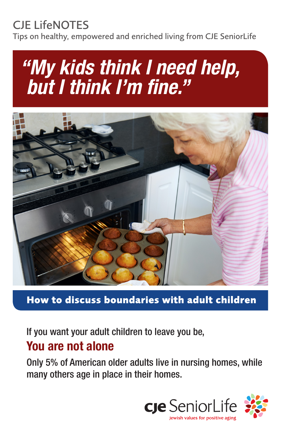# CJE LifeNOTES

Tips on healthy, empowered and enriched living from CJE SeniorLife

# *"My kids think I need help, but I think I'm fine."*



**How to discuss boundaries with adult children**

If you want your adult children to leave you be,

#### You are not alone

Only 5% of American older adults live in nursing homes, while many others age in place in their homes.

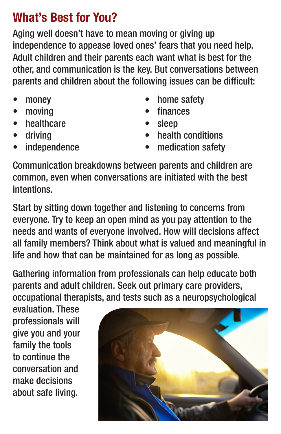## What's Best for You?

Aging well doesn't have to mean moving or giving up independence to appease loved ones' fears that you need help. Adult children and their parents each want what is best for the other, and communication is the key. But conversations between parents and children about the following issues can be difficult:

- money
- moving
- healthcare
- driving
- **independence**
- home safety
- **finances**
- sleep
- health conditions
- medication safety

Communication breakdowns between parents and children are common, even when conversations are initiated with the best **intentions** 

Start by sitting down together and listening to concerns from everyone. Try to keep an open mind as you pay attention to the needs and wants of everyone involved. How will decisions affect all family members? Think about what is valued and meaningful in life and how that can be maintained for as long as possible.

Gathering information from professionals can help educate both parents and adult children. Seek out primary care providers, occupational therapists, and tests such as a neuropsychological

evaluation. These professionals will give you and your family the tools to continue the conversation and make decisions about safe living.

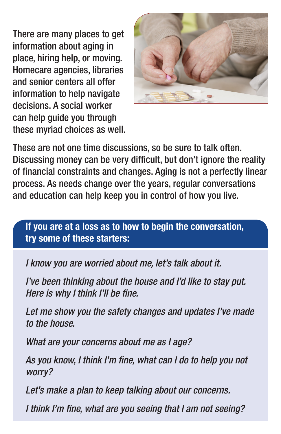There are many places to get information about aging in place, hiring help, or moving. Homecare agencies, libraries and senior centers all offer information to help navigate decisions. A social worker can help guide you through these myriad choices as well.



These are not one time discussions, so be sure to talk often. Discussing money can be very difficult, but don't ignore the reality of financial constraints and changes. Aging is not a perfectly linear process. As needs change over the years, regular conversations and education can help keep you in control of how you live.

#### If you are at a loss as to how to begin the conversation, try some of these starters:

*I know you are worried about me, let's talk about it.*

*I've been thinking about the house and I'd like to stay put. Here is why I think I'll be fine.*

*Let me show you the safety changes and updates I've made to the house.* 

*What are your concerns about me as I age?*

*As you know, I think I'm fine, what can I do to help you not worry?*

*Let's make a plan to keep talking about our concerns.*

*I think I'm fine, what are you seeing that I am not seeing?*